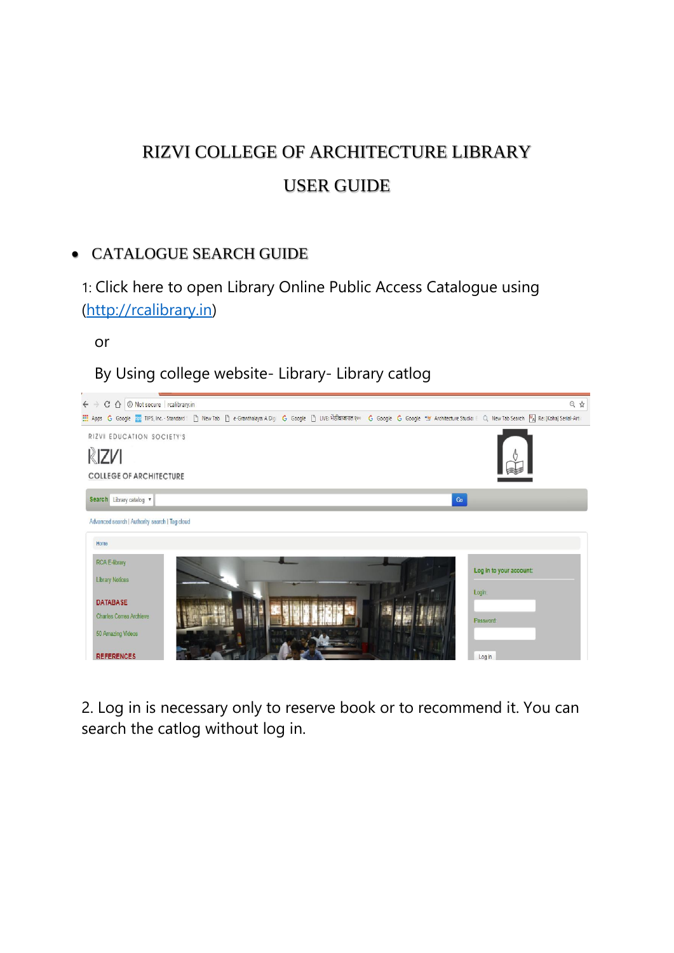# RIZVI COLLEGE OF ARCHITECTURE LIBRARY USER GUIDE

## CATALOGUE SEARCH GUIDE

1: Click here to open Library Online Public Access Catalogue using [\(http://rcalibrary.in\)](http://rcalibrary.in/)

or

By Using college website- Library- Library catlog



2. Log in is necessary only to reserve book or to recommend it. You can search the catlog without log in.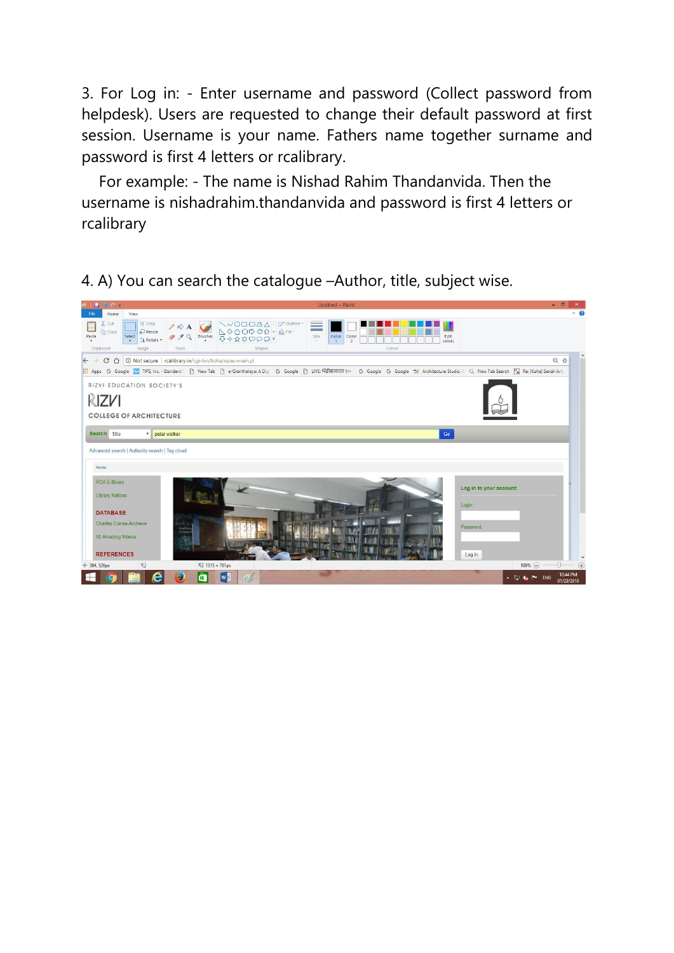3. For Log in: - Enter username and password (Collect password from helpdesk). Users are requested to change their default password at first session. Username is your name. Fathers name together surname and password is first 4 letters or rcalibrary.

 For example: - The name is Nishad Rahim Thandanvida. Then the username is nishadrahim.thandanvida and password is first 4 letters or rcalibrary

4. A) You can search the catalogue –Author, title, subject wise.

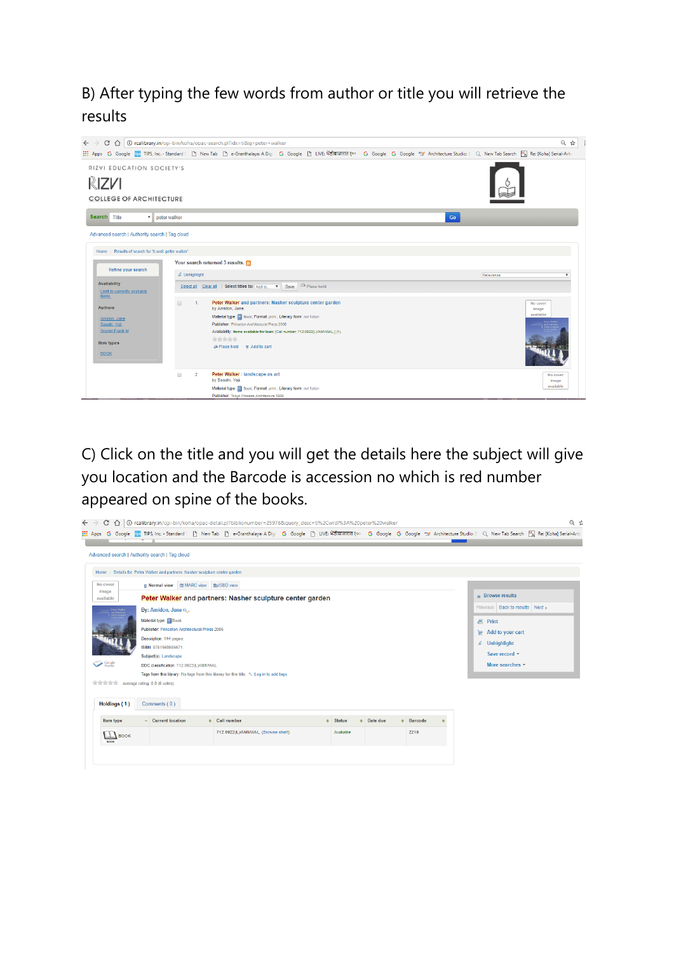## B) After typing the few words from author or title you will retrieve the results



C) Click on the title and you will get the details here the subject will give you location and the Barcode is accession no which is red number appeared on spine of the books.

|                                                                               | $\leftarrow \rightarrow \mathbb{C} \; \hat{\Omega} \;   \; 0$ rcalibrary.in/cgi-bin/koha/opac-detail.pl?biblionumber=25976&query_desc=ti%2Cwrdl%3A%20peter%20walker |                                                           |  |  |  |                                                                                                                                                                                                                              |  |  |               |  |          | $Q \nightharpoonup$ |                  |                |                  |                 |                                 |  |  |  |
|-------------------------------------------------------------------------------|---------------------------------------------------------------------------------------------------------------------------------------------------------------------|-----------------------------------------------------------|--|--|--|------------------------------------------------------------------------------------------------------------------------------------------------------------------------------------------------------------------------------|--|--|---------------|--|----------|---------------------|------------------|----------------|------------------|-----------------|---------------------------------|--|--|--|
|                                                                               |                                                                                                                                                                     |                                                           |  |  |  | <mark>::: Apps G Google Ro</mark> TIPS, Inc. - Standard S [ ] New Tab [ ] e-Granthalaya: A Digi G Google [ ] LIVE: भेडीबाजारात १०० G Google G Google "※ Architecture Studio: E Q, New Tab Search Mal Re: [Koha] Serial-Artic |  |  |               |  |          |                     |                  |                |                  |                 |                                 |  |  |  |
|                                                                               |                                                                                                                                                                     |                                                           |  |  |  |                                                                                                                                                                                                                              |  |  |               |  |          |                     |                  |                |                  |                 |                                 |  |  |  |
| Advanced search   Authority search   Tag cloud                                |                                                                                                                                                                     |                                                           |  |  |  |                                                                                                                                                                                                                              |  |  |               |  |          |                     |                  |                |                  |                 |                                 |  |  |  |
| Home > Details for: Peter Walker and partners: Nasher sculpture center garden |                                                                                                                                                                     |                                                           |  |  |  |                                                                                                                                                                                                                              |  |  |               |  |          |                     |                  |                |                  |                 |                                 |  |  |  |
| No cover                                                                      |                                                                                                                                                                     | <b>■ Normal view ■ MARC view ■ ISBD view</b>              |  |  |  |                                                                                                                                                                                                                              |  |  |               |  |          |                     |                  |                |                  |                 |                                 |  |  |  |
| image<br>available                                                            |                                                                                                                                                                     | Peter Walker and partners: Nasher sculpture center garden |  |  |  |                                                                                                                                                                                                                              |  |  |               |  |          |                     | $Browse$ results |                |                  |                 |                                 |  |  |  |
|                                                                               |                                                                                                                                                                     | By: Amidon, Jane e.                                       |  |  |  |                                                                                                                                                                                                                              |  |  |               |  |          |                     |                  |                |                  |                 | Previous Back to results Next » |  |  |  |
|                                                                               |                                                                                                                                                                     | Material type: Book                                       |  |  |  |                                                                                                                                                                                                                              |  |  |               |  |          |                     |                  | <b>4</b> Print |                  |                 |                                 |  |  |  |
|                                                                               |                                                                                                                                                                     | Publisher: Princeton Architectural Press 2006             |  |  |  |                                                                                                                                                                                                                              |  |  |               |  |          |                     |                  |                | Add to your cart |                 |                                 |  |  |  |
|                                                                               |                                                                                                                                                                     | Description: 144 pages.                                   |  |  |  |                                                                                                                                                                                                                              |  |  |               |  |          |                     |                  |                |                  |                 |                                 |  |  |  |
|                                                                               |                                                                                                                                                                     | ISBN: 9781568985671.                                      |  |  |  |                                                                                                                                                                                                                              |  |  |               |  |          |                     |                  |                |                  |                 | $\mathcal{L}$ Unhighlight       |  |  |  |
|                                                                               |                                                                                                                                                                     | Subject(s): Landscape                                     |  |  |  |                                                                                                                                                                                                                              |  |  |               |  |          |                     |                  |                |                  |                 | Save record -                   |  |  |  |
| Coogle<br>Province                                                            |                                                                                                                                                                     | DDC classification: 712.0922(L)/AMI/V/AL                  |  |  |  |                                                                                                                                                                                                                              |  |  |               |  |          |                     |                  |                |                  | More searches - |                                 |  |  |  |
|                                                                               |                                                                                                                                                                     |                                                           |  |  |  | Tags from this library: No tags from this library for this title. $\Diamond$ Log in to add tags.                                                                                                                             |  |  |               |  |          |                     |                  |                |                  |                 |                                 |  |  |  |
| which will be average rating: 0.0 (0 votes)                                   |                                                                                                                                                                     |                                                           |  |  |  |                                                                                                                                                                                                                              |  |  |               |  |          |                     |                  |                |                  |                 |                                 |  |  |  |
|                                                                               |                                                                                                                                                                     |                                                           |  |  |  |                                                                                                                                                                                                                              |  |  |               |  |          |                     |                  |                |                  |                 |                                 |  |  |  |
| Holdings (1)                                                                  |                                                                                                                                                                     | Comments (0)                                              |  |  |  |                                                                                                                                                                                                                              |  |  |               |  |          |                     |                  |                |                  |                 |                                 |  |  |  |
| Item type                                                                     |                                                                                                                                                                     | - Current location                                        |  |  |  | Call number                                                                                                                                                                                                                  |  |  | <b>Status</b> |  | Date due |                     | <b>Barcode</b>   |                |                  |                 |                                 |  |  |  |
| <b>ROOK</b>                                                                   | $\perp$ <b>BOOK</b>                                                                                                                                                 |                                                           |  |  |  | 712.0922(L)/AMI/WAL, (Browse shelf)                                                                                                                                                                                          |  |  | Available     |  |          |                     | 2219             |                |                  |                 |                                 |  |  |  |
|                                                                               |                                                                                                                                                                     |                                                           |  |  |  |                                                                                                                                                                                                                              |  |  |               |  |          |                     |                  |                |                  |                 |                                 |  |  |  |
|                                                                               |                                                                                                                                                                     |                                                           |  |  |  |                                                                                                                                                                                                                              |  |  |               |  |          |                     |                  |                |                  |                 |                                 |  |  |  |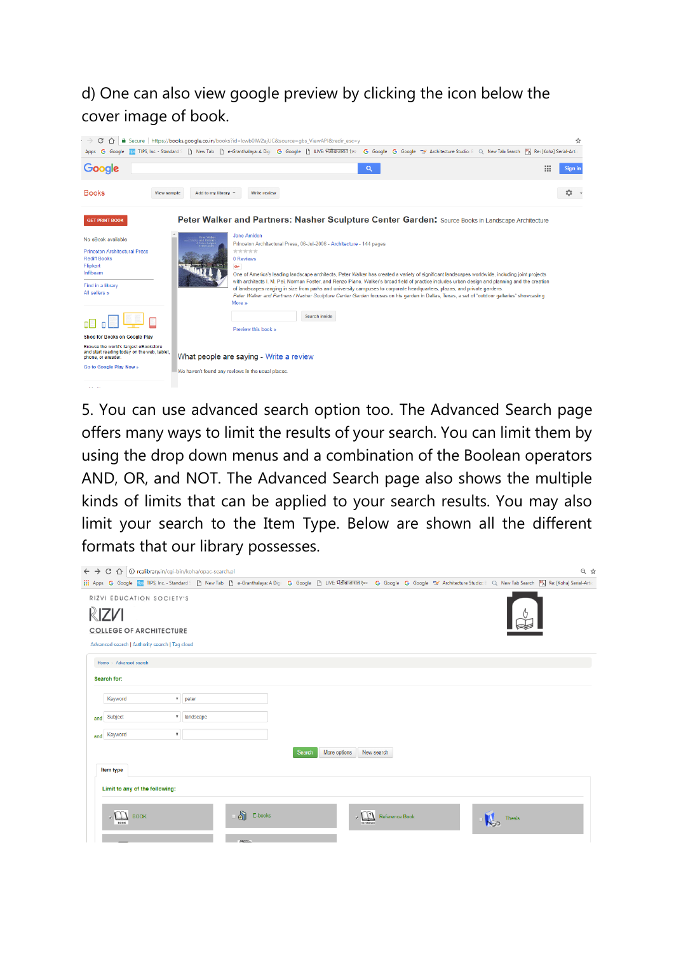## d) One can also view google preview by clicking the icon below the cover image of book.



5. You can use advanced search option too. The Advanced Search page offers many ways to limit the results of your search. You can limit them by using the drop down menus and a combination of the Boolean operators AND, OR, and NOT. The Advanced Search page also shows the multiple kinds of limits that can be applied to your search results. You may also limit your search to the Item Type. Below are shown all the different formats that our library possesses.

| ← → C △ © rcalibrary.in/cgi-bin/koha/opac-search.pl                                                                    | $Q$ $\uparrow$ |
|------------------------------------------------------------------------------------------------------------------------|----------------|
|                                                                                                                        |                |
| RIZVI EDUCATION SOCIETY'S<br>RIZV1<br><b>COLLEGE OF ARCHITECTURE</b><br>Advanced search   Authority search   Tag cloud |                |
| Home > Advanced search                                                                                                 |                |
| Search for:                                                                                                            |                |
| Keyword<br>$\bullet$ peter                                                                                             |                |
| v landscape<br>Subject<br>and                                                                                          |                |
| $\boldsymbol{\mathrm{v}}$<br>Keyword<br>and                                                                            |                |
| Search<br>More options<br>New search                                                                                   |                |
| Item type                                                                                                              |                |
| Limit to any of the following:                                                                                         |                |
| - வி<br>E-books<br>$\sqrt{3}$<br><b>BOOK</b><br><b>Reference Book</b><br><b>Thesis</b><br><b>BOOK</b><br>REFERENCE     |                |
| <b>ARTISTS</b>                                                                                                         |                |